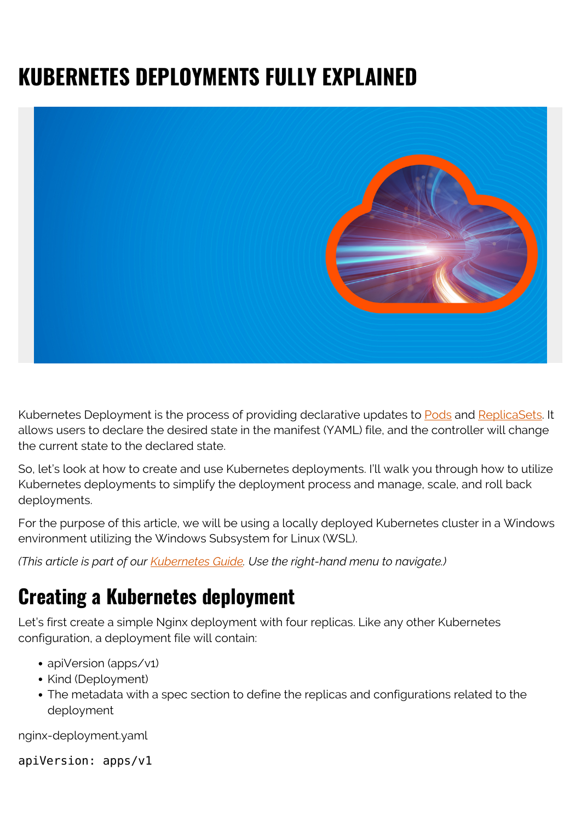# **KUBERNETES DEPLOYMENTS FULLY EXPLAINED**



Kubernetes Deployment is the process of providing declarative updates to [Pods](https://blogs.bmc.com/blogs/kubernetes-pods/) and [ReplicaSets.](https://blogs.bmc.com/blogs/kubernetes-replicaset/) It allows users to declare the desired state in the manifest (YAML) file, and the controller will change the current state to the declared state.

So, let's look at how to create and use Kubernetes deployments. I'll walk you through how to utilize Kubernetes deployments to simplify the deployment process and manage, scale, and roll back deployments.

For the purpose of this article, we will be using a locally deployed Kubernetes cluster in a Windows environment utilizing the Windows Subsystem for Linux (WSL).

*(This article is part of our [Kubernetes Guide](https://blogs.bmc.com/blogs/what-is-kubernetes/). Use the right-hand menu to navigate.)*

## **Creating a Kubernetes deployment**

Let's first create a simple Nginx deployment with four replicas. Like any other Kubernetes configuration, a deployment file will contain:

- apiVersion (apps/v1)
- Kind (Deployment)
- The metadata with a spec section to define the replicas and configurations related to the deployment

nginx-deployment.yaml

apiVersion: apps/v1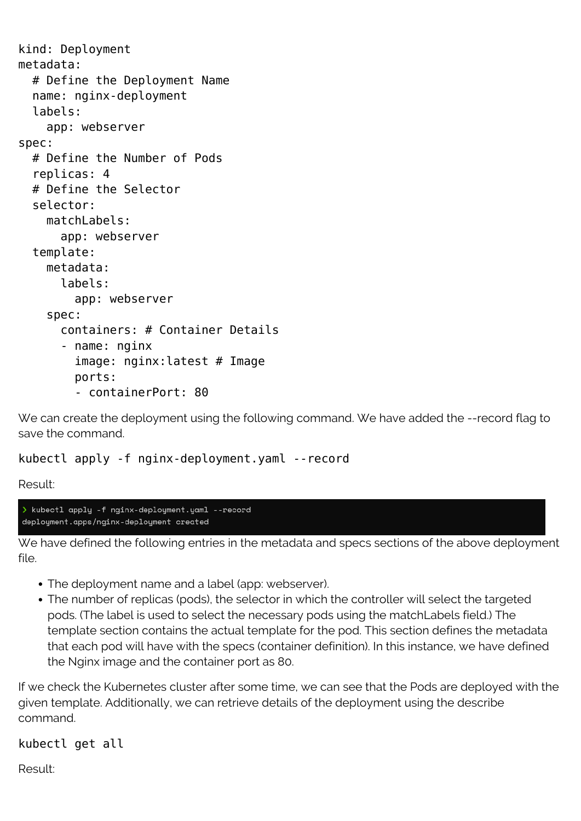```
kind: Deployment
metadata:
   # Define the Deployment Name
   name: nginx-deployment
   labels:
     app: webserver
spec:
   # Define the Number of Pods
   replicas: 4
   # Define the Selector
   selector:
     matchLabels:
       app: webserver
   template:
     metadata:
       labels:
         app: webserver
     spec:
       containers: # Container Details
       - name: nginx
         image: nginx:latest # Image
         ports:
         - containerPort: 80
```
We can create the deployment using the following command. We have added the --record flag to save the command.

kubectl apply -f nginx-deployment.yaml --record

Result:

> kubectl apply -f nginx-deployment.yaml --record deployment.apps/nginx-deployment created

We have defined the following entries in the metadata and specs sections of the above deployment file.

- The deployment name and a label (app: webserver).
- The number of replicas (pods), the selector in which the controller will select the targeted pods. (The label is used to select the necessary pods using the matchLabels field.) The template section contains the actual template for the pod. This section defines the metadata that each pod will have with the specs (container definition). In this instance, we have defined the Nginx image and the container port as 80.

If we check the Kubernetes cluster after some time, we can see that the Pods are deployed with the given template. Additionally, we can retrieve details of the deployment using the describe command.

kubectl get all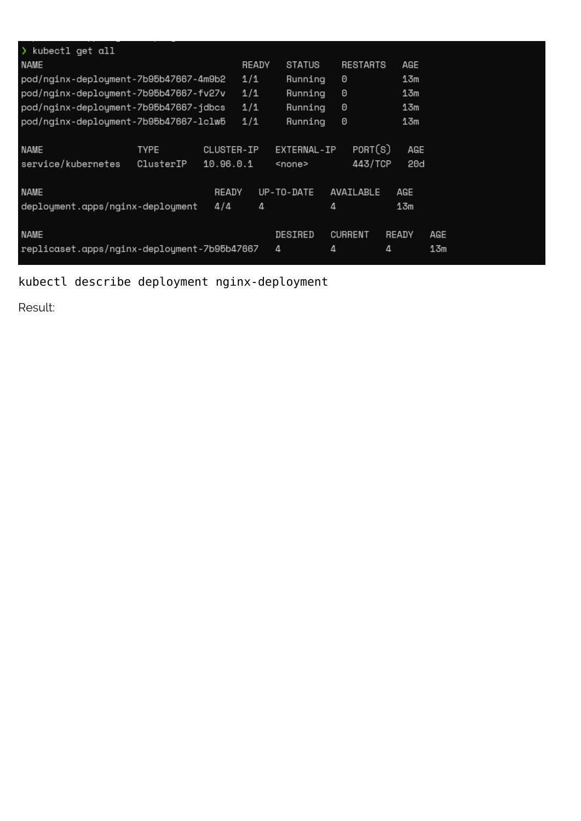| $\lambda$ kubectl get all                   |             |            |       |               |                 |       |     |
|---------------------------------------------|-------------|------------|-------|---------------|-----------------|-------|-----|
| NAME                                        |             |            | READY | STATUS        | <b>RESTARTS</b> | AGE   |     |
| pod/nginx-deployment-7b95b47667-4m9b2       |             |            | 1/1   | Running       | 0               | 13m   |     |
| pod/nginx-deployment-7b95b47667-fv27v       |             |            | 1/1   | Running       | 0               | 13m   |     |
| pod/nginx-deployment-7b95b47667-jdbcs       |             |            | 1/1   | Running       | 0               | 13m   |     |
| pod/nginx-deployment-7b95b47667-lclw5       |             |            | 1/1   | Running       | 0               | 13m   |     |
|                                             |             |            |       |               |                 |       |     |
| <b>NAME</b>                                 | <b>TYPE</b> | CLUSTER-IP |       | EXTERNAL-IP   | PORT(S)         | AGE   |     |
| service/kubernetes                          | ClusterIP   | 10.96.0.1  |       | <none></none> | 443/TCP         | 20d   |     |
|                                             |             |            |       |               |                 |       |     |
| NAME                                        |             | READY      |       | UP-TO-DATE    | AVAILABLE       | AGE   |     |
| deployment.apps/nginx-deployment            |             | 4/4        | 4     |               | 4               | 13m   |     |
|                                             |             |            |       |               |                 |       |     |
| <b>NAME</b>                                 |             |            |       | DESIRED       | <b>CURRENT</b>  | READY | AGE |
| replicaset.apps/nginx-deployment-7b95b47667 |             |            |       | 4             | 4               | 4     | 13m |

### kubectl describe deployment nginx-deployment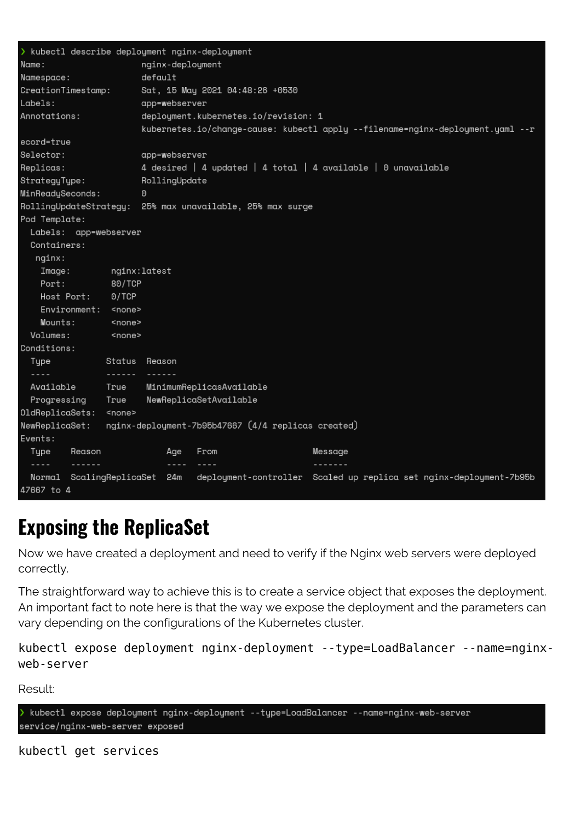```
kubectl describe deploument nginx-deploument
                                  nginx-deployment
Name:
Namespace:
                                  default
CreationTimestamp:
                                  Sat, 15 May 2021 04:48:26 +0530
Labels:
                                  app=webserver
                                  deployment.kubernetes.io/revision: 1
Annotations:
                                  kubernetes.io/change-cause: kubectl apply --filename=nginx-deployment.yaml --r
ecord=true
Selector:
                                  app=webserver
                                  4 desired | 4 updated | 4 total | 4 available | 0 unavailable
Replicas:
StrateguTupe:
                                  RollingUpdate
MinReadySeconds:
                                  \OmegaRollingUpdateStrategy: 25% max unavailable, 25% max surge
Pod Template:
  Labels: app=webserver
  Containers:
    nginx:
                        nginx:latest
     Image:
                         80/TCP
     Port:
     Host Port:
                        0/TCP
     Environment: <none>
     Mounts:
                          <none>
  Volumes:
                         <none>
Conditions:
   Tupe
                        Status Reason
   \sim \sim \sim \simAvailable
                        True
                                   MinimumReplicasAvailable
   Progressing
                                   NewReplicaSetAvailable
                        True
OldReplicaSets: <none>
                        nginx-deployment-7b95b47667 (4/4 replicas created)
NewReplicaSet:
Events:
   Type
              Reason
                                         Age
                                                  From
                                                                                   Message
             - - - - - -- - - -\begin{array}{ccccccccc}\n& \multicolumn{2}{c} & \multicolumn{2}{c} & \multicolumn{2}{c} & \multicolumn{2}{c} & \multicolumn{2}{c} & \multicolumn{2}{c} & \multicolumn{2}{c} & \multicolumn{2}{c} & \multicolumn{2}{c} & \multicolumn{2}{c} & \multicolumn{2}{c} & \multicolumn{2}{c} & \multicolumn{2}{c} & \multicolumn{2}{c} & \multicolumn{2}{c} & \multicolumn{2}{c} & \multicolumn{2}{c} & \multicolumn{2}{c} & \multicolumn{2}{c} & \multicolumn{2}{c} & \multicolumn{2}{c}<u>-------</u>
  Normal ScalingReplicaSet 24m deployment-controller Scaled up replica set nginx-deployment-7b95b
47667 to 4
```
## **Exposing the ReplicaSet**

Now we have created a deployment and need to verify if the Nginx web servers were deployed correctly.

The straightforward way to achieve this is to create a service object that exposes the deployment. An important fact to note here is that the way we expose the deployment and the parameters can vary depending on the configurations of the Kubernetes cluster.

kubectl expose deployment nginx-deployment --type=LoadBalancer --name=nginxweb-server

Result:

kubectl expose deployment nginx-deployment --type=LoadBalancer --name=nginx-web-server service/nginx-web-server exposed

kubectl get services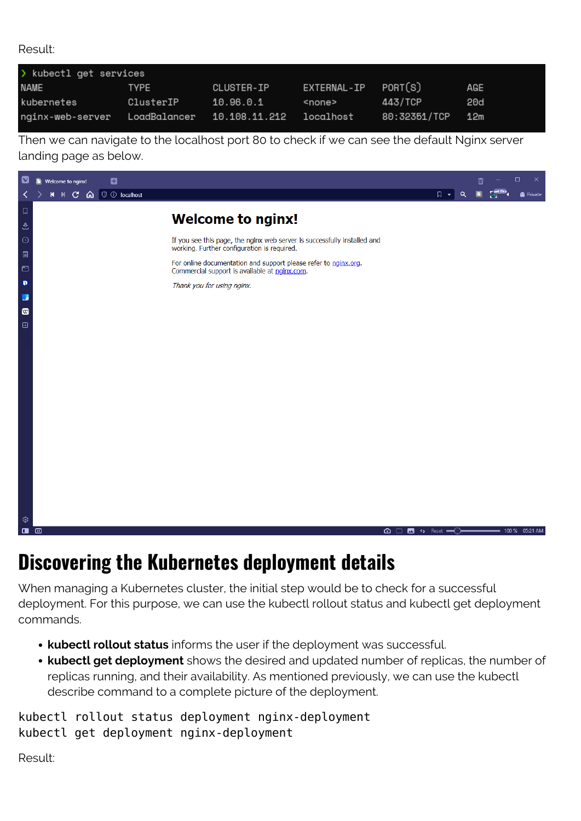Result:

| > kubectl get services |                            |            |                     |              |     |
|------------------------|----------------------------|------------|---------------------|--------------|-----|
| NAME                   | TYPE                       | CLUSTER-IP | EXTERNAL-IP PORT(S) |              | AGE |
| kubernetes             | ClusterIP                  | 10.96.0.1  | <none></none>       | 443/TCP      | 20d |
| nginx-web-server       | LoadBalancer 10.108.11.212 |            | localhost           | 80:32351/TCP | 12m |

Then we can navigate to the localhost port 80 to check if we can see the default Nginx server landing page as below.



## **Discovering the Kubernetes deployment details**

When managing a Kubernetes cluster, the initial step would be to check for a successful deployment. For this purpose, we can use the kubectl rollout status and kubectl get deployment commands.

- **kubectl rollout status** informs the user if the deployment was successful.
- **kubectl get deployment** shows the desired and updated number of replicas, the number of replicas running, and their availability. As mentioned previously, we can use the kubectl describe command to a complete picture of the deployment.

kubectl rollout status deployment nginx-deployment kubectl get deployment nginx-deployment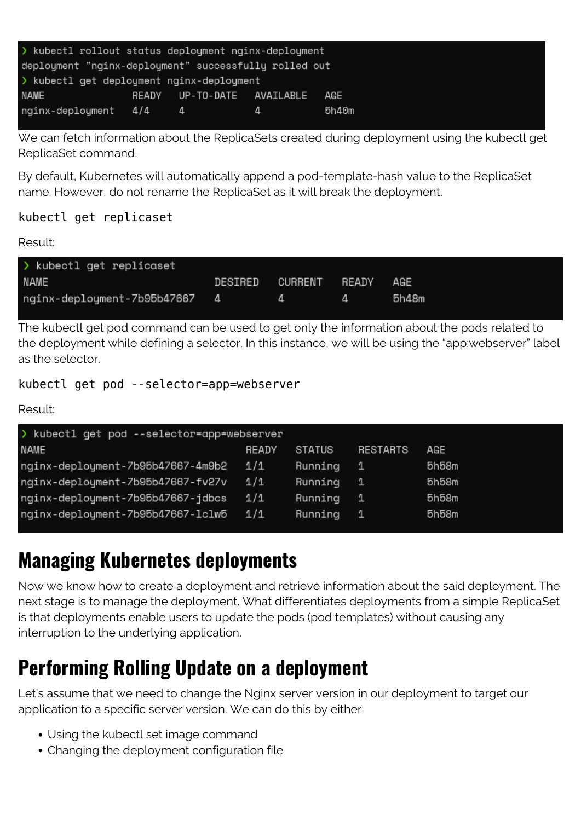| > kubectl rollout status deployment nginx-deployment  |  |                            |   |       |  |  |  |
|-------------------------------------------------------|--|----------------------------|---|-------|--|--|--|
| deployment "nginx-deployment" successfully rolled out |  |                            |   |       |  |  |  |
| > kubectl get deployment nginx-deployment             |  |                            |   |       |  |  |  |
| <b>NAME</b>                                           |  | READY UP-TO-DATE AVAILABLE |   | AGE   |  |  |  |
| nginx-deployment 4/4                                  |  | 4 <sup>1</sup>             | 4 | 5h40m |  |  |  |

We can fetch information about the ReplicaSets created during deployment using the kubectl get ReplicaSet command.

By default, Kubernetes will automatically append a pod-template-hash value to the ReplicaSet name. However, do not rename the ReplicaSet as it will break the deployment.

#### kubectl get replicaset

#### Result:

| > kubectl get replicaset      |         |               |       |
|-------------------------------|---------|---------------|-------|
| <b>NAME</b>                   | DESIRED | CURRENT READY | AGE   |
| nginx-deployment-7b95b47667 4 |         | 4             | 5h48m |

The kubectl get pod command can be used to get only the information about the pods related to the deployment while defining a selector. In this instance, we will be using the "app:webserver" label as the selector.

kubectl get pod --selector=app=webserver

Result:

| > kubectl get pod --selector=app=webserver |       |         |              |       |
|--------------------------------------------|-------|---------|--------------|-------|
| <b>NAME</b>                                | READY | STATUS  | RESTARTS     | AGE   |
| nginx-deployment-7b95b47667-4m9b2          | 1/1   | Running | - 1.         | 5h58m |
| nginx-deployment-7b95b47667-fv27v          | 1/1   | Running | $\mathbf{1}$ | 5h58m |
| nginx-deployment-7b95b47667-jdbcs          | 1/1   | Running | - 1          | 5h58m |
| nginx-deployment-7b95b47667-lclw5          | 1/1   | Running | 1            | 5h58m |

## **Managing Kubernetes deployments**

Now we know how to create a deployment and retrieve information about the said deployment. The next stage is to manage the deployment. What differentiates deployments from a simple ReplicaSet is that deployments enable users to update the pods (pod templates) without causing any interruption to the underlying application.

## **Performing Rolling Update on a deployment**

Let's assume that we need to change the Nginx server version in our deployment to target our application to a specific server version. We can do this by either:

- Using the kubectl set image command
- Changing the deployment configuration file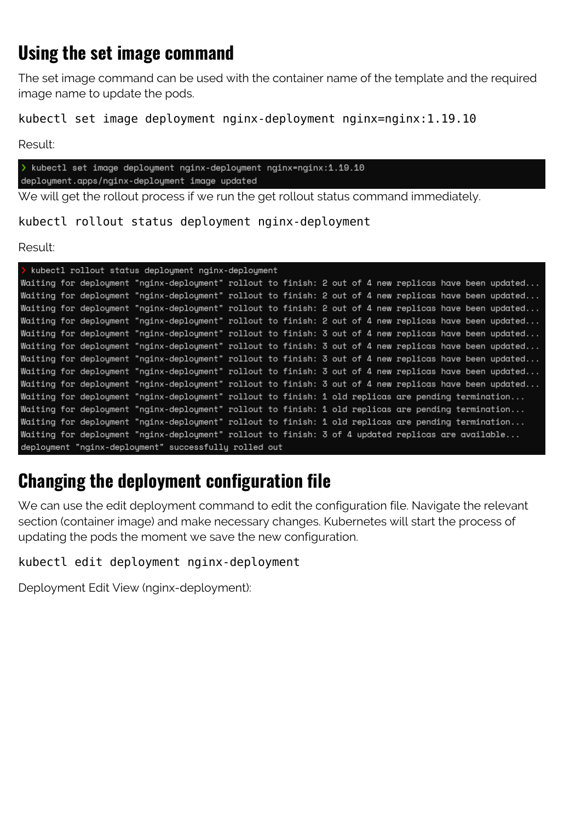### **Using the set image command**

The set image command can be used with the container name of the template and the required image name to update the pods.

kubectl set image deployment nginx-deployment nginx=nginx:1.19.10

Result:

> kubectl set image deployment nginx-deployment nginx=nginx:1.19.10 deployment.apps/nginx-deployment image updated

We will get the rollout process if we run the get rollout status command immediately.

kubectl rollout status deployment nginx-deployment

Result:

|  |  | > kubectl rollout status deployment nginx-deployment                                                   |  |  |  |  |  |  |
|--|--|--------------------------------------------------------------------------------------------------------|--|--|--|--|--|--|
|  |  | Waiting for deploument "nginx-deploument" rollout to finish: 2 out of 4 new replicas have been updated |  |  |  |  |  |  |
|  |  | Waiting for deploument "nginx-deploument" rollout to finish: 2 out of 4 new replicas have been updated |  |  |  |  |  |  |
|  |  | Waiting for deploument "nginx-deploument" rollout to finish: 2 out of 4 new replicas have been updated |  |  |  |  |  |  |
|  |  | Waiting for deployment "nginx-deployment" rollout to finish: 2 out of 4 new replicas have been updated |  |  |  |  |  |  |
|  |  | Waiting for deployment "nginx-deployment" rollout to finish: 3 out of 4 new replicas have been updated |  |  |  |  |  |  |
|  |  | Waiting for deployment "nginx-deployment" rollout to finish: 3 out of 4 new replicas have been updated |  |  |  |  |  |  |
|  |  | Waiting for deployment "nginx-deployment" rollout to finish: 3 out of 4 new replicas have been updated |  |  |  |  |  |  |
|  |  | Waiting for deployment "nginx-deployment" rollout to finish: 3 out of 4 new replicas have been updated |  |  |  |  |  |  |
|  |  | Waiting for deployment "nginx-deployment" rollout to finish: 3 out of 4 new replicas have been updated |  |  |  |  |  |  |
|  |  | Waiting for deployment "nginx-deployment" rollout to finish: 1 old replicas are pending termination    |  |  |  |  |  |  |
|  |  | Waiting for deployment "nginx-deployment" rollout to finish: 1 old replicas are pending termination    |  |  |  |  |  |  |
|  |  | Waiting for deployment "nginx-deployment" rollout to finish: 1 old replicas are pending termination    |  |  |  |  |  |  |
|  |  | Waiting for deployment "nginx-deployment" rollout to finish: 3 of 4 updated replicas are available     |  |  |  |  |  |  |
|  |  | deployment "nginx-deployment" successfully rolled out                                                  |  |  |  |  |  |  |

### **Changing the deployment configuration file**

We can use the edit deployment command to edit the configuration file. Navigate the relevant section (container image) and make necessary changes. Kubernetes will start the process of updating the pods the moment we save the new configuration.

kubectl edit deployment nginx-deployment

Deployment Edit View (nginx-deployment):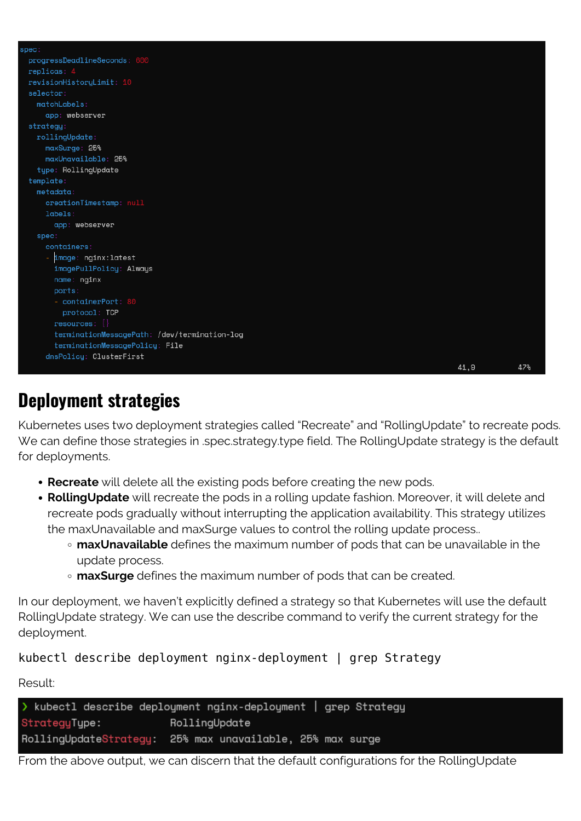| spec:                                        |      |     |
|----------------------------------------------|------|-----|
| progressDeadlineSeconds: 600                 |      |     |
| replicas: 4                                  |      |     |
| revisionHistoryLimit: 10                     |      |     |
| selector:                                    |      |     |
| $matchLabels$ :                              |      |     |
| app: webserver                               |      |     |
| strategy:                                    |      |     |
| rollingUpdate:                               |      |     |
| maxSurge: 25%                                |      |     |
| maxUnavailable: 25%                          |      |     |
| type: RollingUpdate                          |      |     |
| template:                                    |      |     |
| $metada$ ta:                                 |      |     |
| creationTimestamp: null                      |      |     |
| labels:                                      |      |     |
| app: webserver                               |      |     |
| spec:                                        |      |     |
| containers:                                  |      |     |
| image: nginx:latest                          |      |     |
| imagePullPolicy: Always                      |      |     |
| name: nginx                                  |      |     |
| ports:                                       |      |     |
| - containerPort: 80                          |      |     |
| protocol: TCP                                |      |     |
| $resources:$ {}                              |      |     |
| terminationMessagePath: /dev/termination-log |      |     |
| terminationMessagePolicy: File               |      |     |
| dnsPolicy: ClusterFirst                      |      |     |
|                                              | 41,9 | 47% |

### **Deployment strategies**

Kubernetes uses two deployment strategies called "Recreate" and "RollingUpdate" to recreate pods. We can define those strategies in .spec.strategy.type field. The RollingUpdate strategy is the default for deployments.

- **Recreate** will delete all the existing pods before creating the new pods.
- **RollingUpdate** will recreate the pods in a rolling update fashion. Moreover, it will delete and recreate pods gradually without interrupting the application availability. This strategy utilizes the maxUnavailable and maxSurge values to control the rolling update process..
	- **maxUnavailable** defines the maximum number of pods that can be unavailable in the update process.
	- **maxSurge** defines the maximum number of pods that can be created.

In our deployment, we haven't explicitly defined a strategy so that Kubernetes will use the default RollingUpdate strategy. We can use the describe command to verify the current strategy for the deployment.

kubectl describe deployment nginx-deployment | grep Strategy

Result:

```
> kubectl describe deployment nginx-deployment | grep Strategy
StrategyType:
                       RollingUpdate
RollingUpdateStrategy: 25% max unavailable, 25% max surge
```
From the above output, we can discern that the default configurations for the RollingUpdate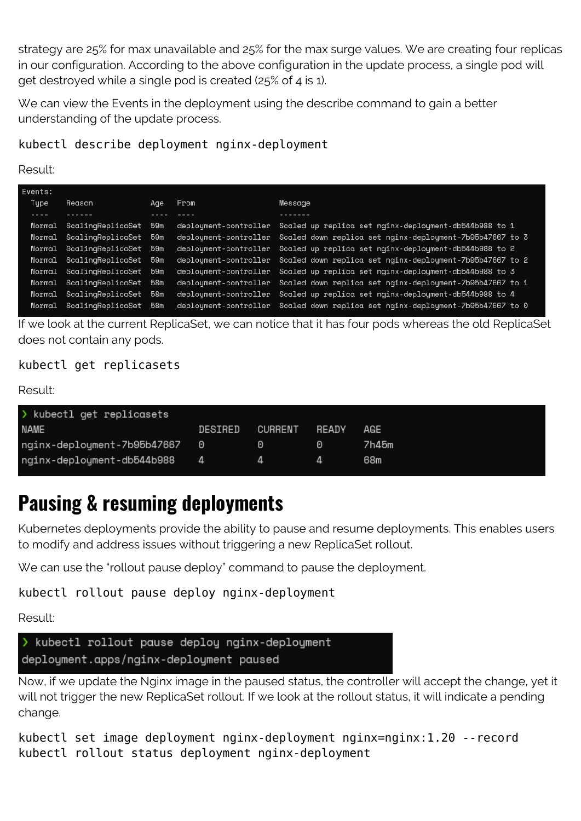strategy are 25% for max unavailable and 25% for the max surge values. We are creating four replicas in our configuration. According to the above configuration in the update process, a single pod will get destroyed while a single pod is created (25% of 4 is 1).

We can view the Events in the deployment using the describe command to gain a better understanding of the update process.

#### kubectl describe deployment nginx-deployment

Result:

| Reason     | Aae                                                                | From                                                                                                                                                                                                | Message                                                                        |
|------------|--------------------------------------------------------------------|-----------------------------------------------------------------------------------------------------------------------------------------------------------------------------------------------------|--------------------------------------------------------------------------------|
| . <u>.</u> |                                                                    |                                                                                                                                                                                                     | -------                                                                        |
|            |                                                                    | deploument-controller                                                                                                                                                                               | Scaled up replica set nginx-deployment-db544b988 to 1                          |
|            |                                                                    |                                                                                                                                                                                                     | deployment-controller Scaled down replica set nginx-deployment-7b95b47667 to 3 |
|            |                                                                    |                                                                                                                                                                                                     | deployment-controller Scaled up replica set nginx-deployment-db544b988 to 2    |
|            |                                                                    |                                                                                                                                                                                                     | deployment-controller Scaled down replica set nginx-deployment-7b95b47667 to 2 |
|            |                                                                    |                                                                                                                                                                                                     | deploument-controller Scaled up replica set nginx-deploument-db544b988 to 3    |
|            |                                                                    |                                                                                                                                                                                                     | deploument-controller Scaled down replica set nginx-deploument-7b95b47667 to 1 |
|            | 58m                                                                |                                                                                                                                                                                                     | deployment-controller Scaled up replica set nginx-deployment-db544b988 to 4    |
|            | 58m                                                                |                                                                                                                                                                                                     | deployment-controller Scaled down replica set nginx-deployment-7b95b47667 to 0 |
|            | Normal<br>Normal<br>Normal<br>Normal<br>Normal<br>Normal<br>Normal | ScalinaReplicaSet 59m<br>ScalingReplicaSet 59m<br>Normal ScalingReplicaSet 59m<br>ScalinaReplicaSet 59m<br>ScalingReplicaSet 59m<br>ScalingReplicaSet 58m<br>ScalingReplicaSet<br>ScalingReplicaSet |                                                                                |

If we look at the current ReplicaSet, we can notice that it has four pods whereas the old ReplicaSet does not contain any pods.

#### kubectl get replicasets

Result:

| > kubectl get replicasets     |         |          |       |       |
|-------------------------------|---------|----------|-------|-------|
| <b>NAME</b>                   | DESIRED | CURRENT  | READY | AGE   |
| nginx-deployment-7b95b47667 0 |         | $\Theta$ | o     | 7h45m |
| nginx-deployment-db544b988 4  |         |          |       | 68m   |
|                               |         |          |       |       |

## **Pausing & resuming deployments**

Kubernetes deployments provide the ability to pause and resume deployments. This enables users to modify and address issues without triggering a new ReplicaSet rollout.

We can use the "rollout pause deploy" command to pause the deployment.

#### kubectl rollout pause deploy nginx-deployment

Result:



Now, if we update the Nginx image in the paused status, the controller will accept the change, yet it will not trigger the new ReplicaSet rollout. If we look at the rollout status, it will indicate a pending change.

kubectl set image deployment nginx-deployment nginx=nginx:1.20 --record kubectl rollout status deployment nginx-deployment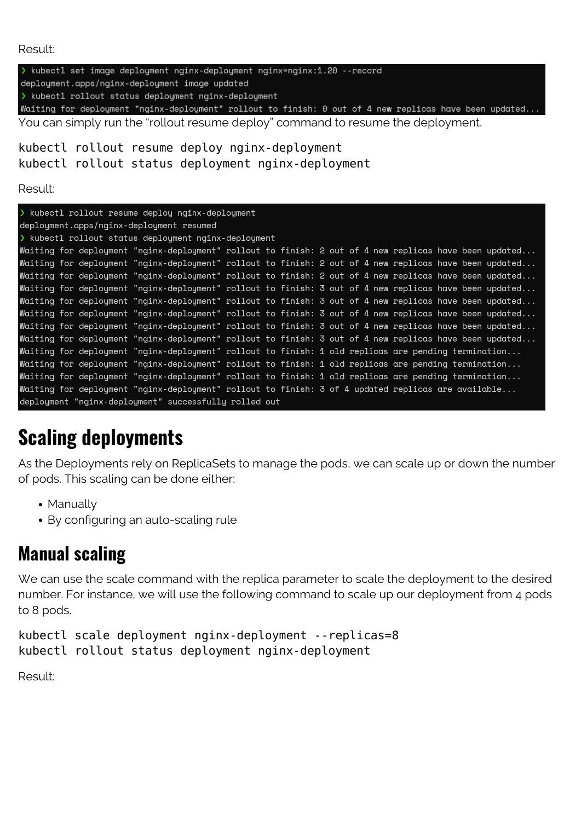Result:

> kubectl set image deployment nginx-deployment nginx=nginx:1.20 --record deployment.apps/nginx-deployment image updated > kubectl rollout status deployment nginx-deployment Waiting for deployment "nginx-deployment" rollout to finish: 0 out of 4 new replicas have been updated.. You can simply run the "rollout resume deploy" command to resume the deployment.

kubectl rollout resume deploy nginx-deployment kubectl rollout status deployment nginx-deployment

Result:

| > kubectl rollout resume deploy nginx-deployment |  |  |                                                                                                        |  |  |  |  |  |  |  |  |  |
|--------------------------------------------------|--|--|--------------------------------------------------------------------------------------------------------|--|--|--|--|--|--|--|--|--|
| deployment.apps/nginx-deployment resumed         |  |  |                                                                                                        |  |  |  |  |  |  |  |  |  |
|                                                  |  |  | > kubectl rollout status deployment nginx-deployment                                                   |  |  |  |  |  |  |  |  |  |
|                                                  |  |  | Waiting for deployment "nginx-deployment" rollout to finish: 2 out of 4 new replicas have been updated |  |  |  |  |  |  |  |  |  |
|                                                  |  |  | Waiting for deployment "nginx-deployment" rollout to finish: 2 out of 4 new replicas have been updated |  |  |  |  |  |  |  |  |  |
|                                                  |  |  | Waiting for deployment "nginx-deployment" rollout to finish: 2 out of 4 new replicas have been updated |  |  |  |  |  |  |  |  |  |
|                                                  |  |  | Waiting for deployment "nginx-deployment" rollout to finish: 3 out of 4 new replicas have been updated |  |  |  |  |  |  |  |  |  |
|                                                  |  |  | Waiting for deployment "nginx-deployment" rollout to finish: 3 out of 4 new replicas have been updated |  |  |  |  |  |  |  |  |  |
|                                                  |  |  | Waiting for deployment "nginx-deployment" rollout to finish: 3 out of 4 new replicas have been updated |  |  |  |  |  |  |  |  |  |
|                                                  |  |  | Waiting for deployment "nginx-deployment" rollout to finish: 3 out of 4 new replicas have been updated |  |  |  |  |  |  |  |  |  |
|                                                  |  |  | Waiting for deployment "nginx-deployment" rollout to finish: 3 out of 4 new replicas have been updated |  |  |  |  |  |  |  |  |  |
|                                                  |  |  | Waiting for deployment "nginx-deployment" rollout to finish: 1 old replicas are pending termination    |  |  |  |  |  |  |  |  |  |
|                                                  |  |  | Waiting for deployment "nginx-deployment" rollout to finish: 1 old replicas are pending termination    |  |  |  |  |  |  |  |  |  |
|                                                  |  |  | Waiting for deployment "nginx-deployment" rollout to finish: 1 old replicas are pending termination    |  |  |  |  |  |  |  |  |  |
|                                                  |  |  | Waiting for deployment "nginx-deployment" rollout to finish: 3 of 4 updated replicas are available     |  |  |  |  |  |  |  |  |  |
|                                                  |  |  | deployment "nginx-deployment" successfully rolled out                                                  |  |  |  |  |  |  |  |  |  |

## **Scaling deployments**

As the Deployments rely on ReplicaSets to manage the pods, we can scale up or down the number of pods. This scaling can be done either:

- Manually
- By configuring an auto-scaling rule

### **Manual scaling**

We can use the scale command with the replica parameter to scale the deployment to the desired number. For instance, we will use the following command to scale up our deployment from 4 pods to 8 pods.

```
kubectl scale deployment nginx-deployment --replicas=8
kubectl rollout status deployment nginx-deployment
```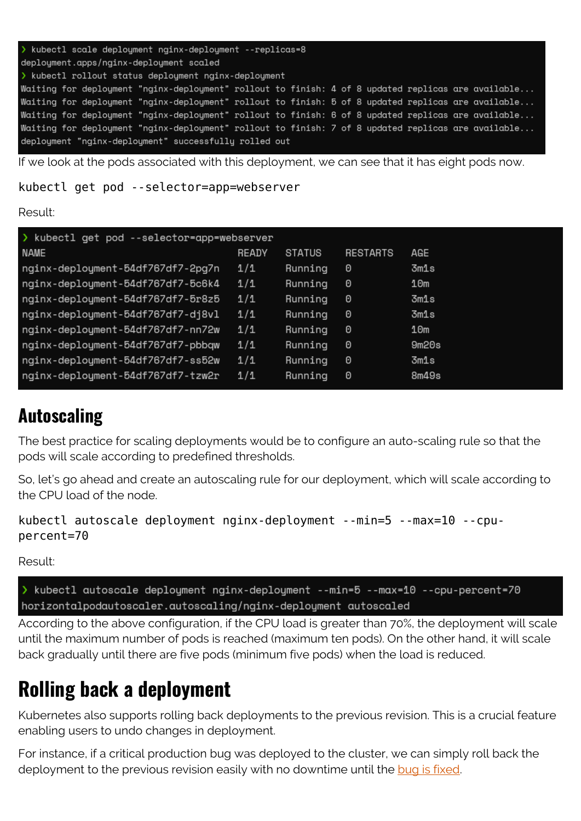```
kubectl scale deploument nginx-deploument --replicas=8
deployment.apps/nginx-deployment scaled
> kubectl rollout status deployment nginx-deployment
Waiting for deployment "nginx-deployment" rollout to finish: 4 of 8 updated replicas are available...
Waiting for deployment "nginx-deployment" rollout to finish: 5 of 8 updated replicas are available...
Waiting for deployment "nginx-deployment" rollout to finish: 6 of 8 updated replicas are available...
Waiting for deployment "nginx-deployment" rollout to finish: 7 of 8 updated replicas are available...
deployment "nginx-deployment" successfully rolled out
```
If we look at the pods associated with this deployment, we can see that it has eight pods now.

kubectl get pod --selector=app=webserver

Result:

| > kubectl get pod --selector=app=webserver |       |               |                 |       |  |  |  |  |  |
|--------------------------------------------|-------|---------------|-----------------|-------|--|--|--|--|--|
| <b>NAME</b>                                | READY | <b>STATUS</b> | <b>RESTARTS</b> | AGE   |  |  |  |  |  |
| nginx-deployment-54df767df7-2pg7n          | 1/1   | Running       | 0               | 3m1s  |  |  |  |  |  |
| nginx-deployment-54df767df7-5c6k4          | 1/1   | Running       | 0               | 10m   |  |  |  |  |  |
| nginx-deployment-54df767df7-5r8z5          | 1/1   | Running       | 0               | 3m1s  |  |  |  |  |  |
| nginx-deployment-54df767df7-dj8vl          | 1/1   | Running       | 0               | 3m1s  |  |  |  |  |  |
| nginx-deployment-54df767df7-nn72w          | 1/1   | Running       | 0               | 10m   |  |  |  |  |  |
| nginx-deployment-54df767df7-pbbqw          | 1/1   | Running       | 0               | 9m20s |  |  |  |  |  |
| nginx-deployment-54df767df7-ss52w          | 1/1   | Running       | 0               | 3m1s  |  |  |  |  |  |
| nginx-deployment-54df767df7-tzw2r          | 1/1   | Running       | 0               | 8m49s |  |  |  |  |  |
|                                            |       |               |                 |       |  |  |  |  |  |

### **Autoscaling**

The best practice for scaling deployments would be to configure an auto-scaling rule so that the pods will scale according to predefined thresholds.

So, let's go ahead and create an autoscaling rule for our deployment, which will scale according to the CPU load of the node.

```
kubectl autoscale deployment nginx-deployment --min=5 --max=10 --cpu-
percent=70
```
Result:

> kubectl autoscale deployment nginx-deployment --min=5 --max=10 --cpu-percent=70 horizontalpodautoscaler.autoscaling/nginx-deployment autoscaled

According to the above configuration, if the CPU load is greater than 70%, the deployment will scale until the maximum number of pods is reached (maximum ten pods). On the other hand, it will scale back gradually until there are five pods (minimum five pods) when the load is reduced.

### **Rolling back a deployment**

Kubernetes also supports rolling back deployments to the previous revision. This is a crucial feature enabling users to undo changes in deployment.

For instance, if a critical production bug was deployed to the cluster, we can simply roll back the deployment to the previous revision easily with no downtime until the [bug is fixed](https://blogs.bmc.com/blogs/patch-hotfix-coldfix-bugfix/).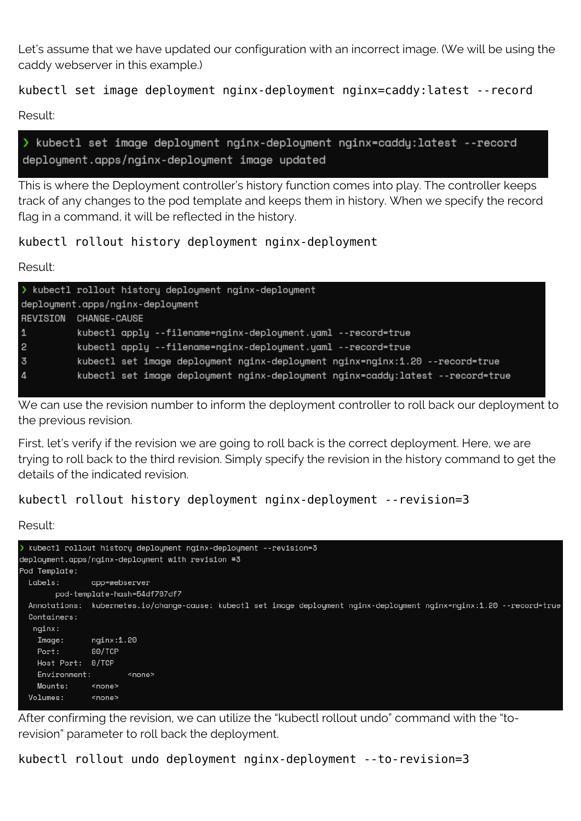Let's assume that we have updated our configuration with an incorrect image. (We will be using the caddy webserver in this example.)

#### kubectl set image deployment nginx-deployment nginx=caddy:latest --record

Result:

> kubectl set image deployment nginx-deployment nginx=caddy:latest --record deployment.apps/nginx-deployment image updated

This is where the Deployment controller's history function comes into play. The controller keeps track of any changes to the pod template and keeps them in history. When we specify the record flag in a command, it will be reflected in the history.

kubectl rollout history deployment nginx-deployment

Result:

|                                  | > kubectl rollout history deployment nginx-deployment                          |  |  |  |  |  |
|----------------------------------|--------------------------------------------------------------------------------|--|--|--|--|--|
| deployment.apps/nginx-deployment |                                                                                |  |  |  |  |  |
| REVISION                         | <b>CHANGE-CAUSE</b>                                                            |  |  |  |  |  |
| $\mathbf{1}$                     | kubectl apply --filename=nginx-deployment.yaml --record=true                   |  |  |  |  |  |
| $\overline{c}$                   | kubectl apply --filename=nginx-deployment.yaml --record=true                   |  |  |  |  |  |
| $\overline{3}$                   | kubectl set image deployment nginx-deployment nginx=nginx:1.20 --record=true   |  |  |  |  |  |
| $\overline{4}$                   | kubectl set image deployment nginx-deployment nginx=caddy:latest --record=true |  |  |  |  |  |

We can use the revision number to inform the deployment controller to roll back our deployment to the previous revision.

First, let's verify if the revision we are going to roll back is the correct deployment. Here, we are trying to roll back to the third revision. Simply specify the revision in the history command to get the details of the indicated revision.

kubectl rollout history deployment nginx-deployment --revision=3

Result:

```
kubectl rollout history deployment nginx-deployment --revision=3
deployment.apps/nginx-deployment with revision #3
Pod Template:
 Labels:
               app=webserver
       pod-template-hash=54df767df7
 Annotations: kubernetes.io/change-cause: kubectl set image deployment nginx-deployment nginx=nginx:1.20 --record=true
 Containers:
  nginx:
   Image:
               nginx:1.20
               80/TCP
   Port:
   Host Port: 0/TCP
   Environment:
                       <none>
   Mounts:
             <none>
 Volumes:
               <none>
```
After confirming the revision, we can utilize the "kubectl rollout undo" command with the "torevision" parameter to roll back the deployment.

kubectl rollout undo deployment nginx-deployment --to-revision=3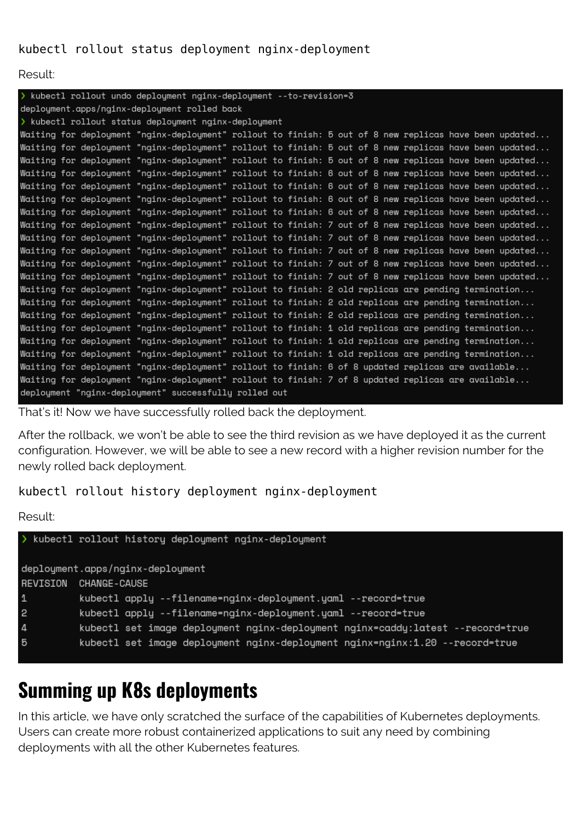#### kubectl rollout status deployment nginx-deployment

Result:

| > kubectl rollout undo deployment nginx-deployment --to-revision=3 |  |  |                                                       |  |  |  |  |  |  |  |                                                                                                        |
|--------------------------------------------------------------------|--|--|-------------------------------------------------------|--|--|--|--|--|--|--|--------------------------------------------------------------------------------------------------------|
| deployment.apps/nginx-deployment rolled back                       |  |  |                                                       |  |  |  |  |  |  |  |                                                                                                        |
| > kubectl rollout status deployment nginx-deployment               |  |  |                                                       |  |  |  |  |  |  |  |                                                                                                        |
|                                                                    |  |  |                                                       |  |  |  |  |  |  |  | Waiting for deployment "nginx-deployment" rollout to finish: 5 out of 8 new replicas have been updated |
|                                                                    |  |  |                                                       |  |  |  |  |  |  |  | Waiting for deployment "nginx-deployment" rollout to finish: 5 out of 8 new replicas have been updated |
|                                                                    |  |  |                                                       |  |  |  |  |  |  |  | Waiting for deployment "nginx-deployment" rollout to finish: 5 out of 8 new replicas have been updated |
|                                                                    |  |  |                                                       |  |  |  |  |  |  |  | Waiting for deployment "nginx-deployment" rollout to finish: 6 out of 8 new replicas have been updated |
|                                                                    |  |  |                                                       |  |  |  |  |  |  |  | Waiting for deployment "nginx-deployment" rollout to finish: 6 out of 8 new replicas have been updated |
|                                                                    |  |  |                                                       |  |  |  |  |  |  |  | Waiting for deployment "nginx-deployment" rollout to finish: 6 out of 8 new replicas have been updated |
|                                                                    |  |  |                                                       |  |  |  |  |  |  |  | Waiting for deployment "nginx-deployment" rollout to finish: 6 out of 8 new replicas have been updated |
|                                                                    |  |  |                                                       |  |  |  |  |  |  |  | Waiting for deployment "nginx-deployment" rollout to finish: 7 out of 8 new replicas have been updated |
|                                                                    |  |  |                                                       |  |  |  |  |  |  |  | Waiting for deployment "nginx-deployment" rollout to finish: 7 out of 8 new replicas have been updated |
|                                                                    |  |  |                                                       |  |  |  |  |  |  |  | Waiting for deployment "nginx-deployment" rollout to finish: 7 out of 8 new replicas have been updated |
|                                                                    |  |  |                                                       |  |  |  |  |  |  |  | Waiting for deployment "nginx-deployment" rollout to finish: 7 out of 8 new replicas have been updated |
|                                                                    |  |  |                                                       |  |  |  |  |  |  |  | Waiting for deployment "nginx-deployment" rollout to finish: 7 out of 8 new replicas have been updated |
|                                                                    |  |  |                                                       |  |  |  |  |  |  |  | Waiting for deployment "nginx-deployment" rollout to finish: 2 old replicas are pending termination    |
|                                                                    |  |  |                                                       |  |  |  |  |  |  |  | Waiting for deployment "nginx-deployment" rollout to finish: 2 old replicas are pending termination    |
|                                                                    |  |  |                                                       |  |  |  |  |  |  |  | Waiting for deployment "nginx-deployment" rollout to finish: 2 old replicas are pending termination    |
|                                                                    |  |  |                                                       |  |  |  |  |  |  |  | Waiting for deployment "nginx-deployment" rollout to finish: 1 old replicas are pending termination    |
|                                                                    |  |  |                                                       |  |  |  |  |  |  |  | Waiting for deployment "nginx-deployment" rollout to finish: 1 old replicas are pending termination    |
|                                                                    |  |  |                                                       |  |  |  |  |  |  |  | Waiting for deployment "nginx-deployment" rollout to finish: 1 old replicas are pending termination    |
|                                                                    |  |  |                                                       |  |  |  |  |  |  |  | Waiting for deployment "nginx-deployment" rollout to finish: 6 of 8 updated replicas are available     |
|                                                                    |  |  |                                                       |  |  |  |  |  |  |  | Waiting for deployment "nginx-deployment" rollout to finish: 7 of 8 updated replicas are available     |
|                                                                    |  |  | deployment "nginx-deployment" successfully rolled out |  |  |  |  |  |  |  |                                                                                                        |

That's it! Now we have successfully rolled back the deployment.

After the rollback, we won't be able to see the third revision as we have deployed it as the current configuration. However, we will be able to see a new record with a higher revision number for the newly rolled back deployment.

kubectl rollout history deployment nginx-deployment

Result:

```
> kubectl rollout history deployment nginx-deployment
deployment.apps/nginx-deployment
REVISION CHANGE-CAUSE
\mathbf 1kubectl apply --filename=nginx-deployment.yaml --record=true
2
          kubectl apply --filename=nginx-deployment.yaml --record=true
\overline{4}kubectl set image deployment nginx-deployment nginx=caddy:latest --record=true
5
          kubectl set image deployment nginx-deployment nginx=nginx:1.20 --record=true
```
### **Summing up K8s deployments**

In this article, we have only scratched the surface of the capabilities of Kubernetes deployments. Users can create more robust containerized applications to suit any need by combining deployments with all the other Kubernetes features.